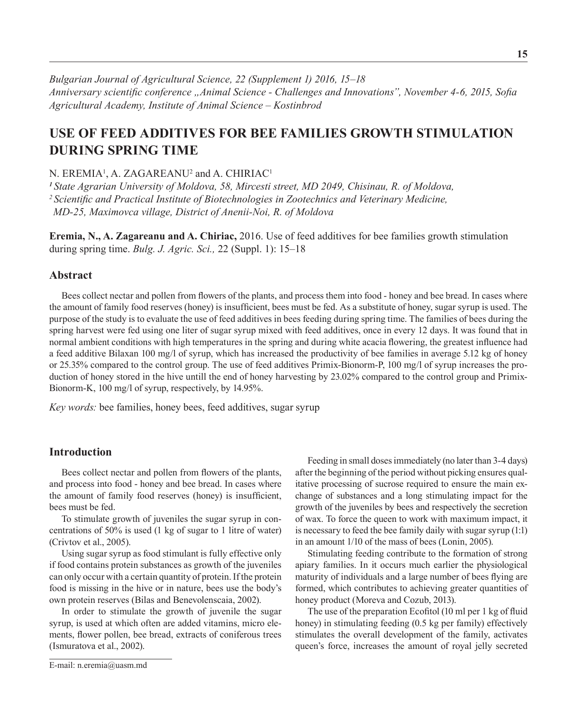*Bulgarian Journal of Agricultural Science, 22 (Supplement 1) 2016, 15–18 Anniversary scientific conference "Animal Science - Challenges and Innovations", November 4-6, 2015, Sofia Agricultural Academy, Institute оf Animal Science – Kostinbrod*

# **USe OF FEED ADDITIVES FOR BEE FAMILIES GROWTH STIMULATION DURING SPRING TIME**

N. EREMIA<sup>1</sup>, A. ZAGAREANU<sup>2</sup> and A. CHIRIAC<sup>1</sup>

*<sup>1</sup>State Agrarian University of Moldova, 58, Mircesti street, MD 2049, Chisinau, R. of Moldova, <sup>2</sup>Scientific and Practical Institute of Biotechnologies in Zootechnics and Veterinary Medicine, MD-25, Maximovca village, District of Anenii-Noi, R. of Moldova*

**Eremia, N., A. Zagareanu and A. Chiriac,** 2016. Use of feed additives for bee families growth stimulation during spring time. *Bulg. J. Agric. Sci.,* 22 (Suppl. 1): 15–18

# **Abstract**

Bees collect nectar and pollen from flowers of the plants, and process them into food - honey and bee bread. In cases where the amount of family food reserves (honey) is insufficient, bees must be fed. As a substitute of honey, sugar syrup is used. The purpose of the study is to evaluate the use of feed additives in bees feeding during spring time. The families of bees during the spring harvest were fed using one liter of sugar syrup mixed with feed additives, once in every 12 days. It was found that in normal ambient conditions with high temperatures in the spring and during white acacia flowering, the greatest influence had a feed additive Bilaxan 100 mg/l of syrup, which has increased the productivity of bee families in average 5.12 kg of honey or 25.35% compared to the control group. The use of feed additives Primix-Bionorm-P, 100 mg/l of syrup increases the production of honey stored in the hive untill the end of honey harvesting by 23.02% compared to the control group and Primix-Bionorm-K, 100 mg/l of syrup, respectively, by 14.95%.

*Key words:* bee families, honey bees, feed additives, sugar syrup

## **Introduction**

Bees collect nectar and pollen from flowers of the plants, and process into food - honey and bee bread. In cases where the amount of family food reserves (honey) is insufficient, bees must be fed.

To stimulate growth of juveniles the sugar syrup in concentrations of 50% is used (1 kg of sugar to 1 litre of water) (Crivtov et al., 2005).

Using sugar syrup as food stimulant is fully effective only if food contains protein substances as growth of the juveniles can only occur with a certain quantity of protein. If the protein food is missing in the hive or in nature, bees use the body's own protein reserves (Bilas and Benevolenscaia, 2002).

In order to stimulate the growth of juvenile the sugar syrup, is used at which often are added vitamins, micro elements, flower pollen, bee bread, extracts of coniferous trees (Ismuratova et al., 2002).

E-mail: n.eremia@uasm.md

Feeding in small doses immediately (no later than 3-4 days) after the beginning of the period without picking ensures qualitative processing of sucrose required to ensure the main exchange of substances and a long stimulating impact for the growth of the juveniles by bees and respectively the secretion of wax. To force the queen to work with maximum impact, it is necessary to feed the bee family daily with sugar syrup (1:1) in an amount 1/10 of the mass of bees (Lonin, 2005).

Stimulating feeding contribute to the formation of strong apiary families. In it occurs much earlier the physiological maturity of individuals and a large number of bees flying are formed, which contributes to achieving greater quantities of honey product (Moreva and Cozub, 2013).

The use of the preparation Ecofitol (10 ml per 1 kg of fluid honey) in stimulating feeding (0.5 kg per family) effectively stimulates the overall development of the family, activates queen's force, increases the amount of royal jelly secreted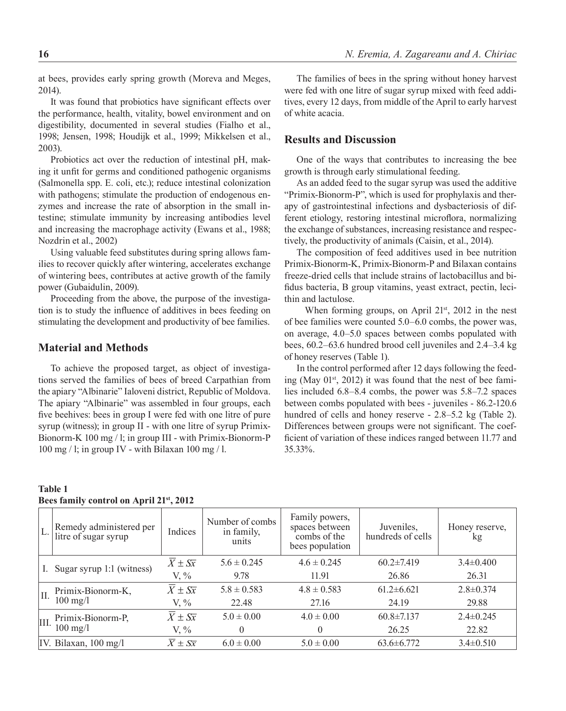at bees, provides early spring growth (Moreva and Meges, 2014).

It was found that probiotics have significant effects over the performance, health, vitality, bowel environment and on digestibility, documented in several studies (Fialho et al., 1998; Jensen, 1998; Houdijk et al., 1999; Mikkelsen et al., 2003).

Probiotics act over the reduction of intestinal pH, making it unfit for germs and conditioned pathogenic organisms (Salmonella spp. E. coli, etc.); reduce intestinal colonization with pathogens; stimulate the production of endogenous enzymes and increase the rate of absorption in the small intestine; stimulate immunity by increasing antibodies level and increasing the macrophage activity (Ewans et al., 1988; Nozdrin et al., 2002)

Using valuable feed substitutes during spring allows families to recover quickly after wintering, accelerates exchange of wintering bees, contributes at active growth of the family power (Gubaidulin, 2009).

Proceeding from the above, the purpose of the investigation is to study the influence of additives in bees feeding on stimulating the development and productivity of bee families.

# **Material and Methods**

To achieve the proposed target, as object of investigations served the families of bees of breed Carpathian from the apiary "Albinarie" Ialoveni district, Republic of Moldova. The apiary "Albinarie" was assembled in four groups, each five beehives: bees in group I were fed with one litre of pure syrup (witness); in group II - with one litre of syrup Primix-Bionorm-K 100 mg / l; in group III - with Primix-Bionorm-P 100 mg / l; in group IV - with Bilaxan 100 mg / l.

The families of bees in the spring without honey harvest were fed with one litre of sugar syrup mixed with feed additives, every 12 days, from middle of the April to early harvest of white acacia.

# **Results and Discussion**

One of the ways that contributes to increasing the bee growth is through early stimulational feeding.

As an added feed to the sugar syrup was used the additive "Primix-Bionorm-P", which is used for prophylaxis and therapy of gastrointestinal infections and dysbacteriosis of different etiology, restoring intestinal microflora, normalizing the exchange of substances, increasing resistance and respectively, the productivity of animals (Caisin, et al., 2014).

The composition of feed additives used in bee nutrition Primix-Bionorm-K, Primix-Bionorm-P and Bilaxan contains freeze-dried cells that include strains of lactobacillus and bifidus bacteria, B group vitamins, yeast extract, pectin, lecithin and lactulose.

When forming groups, on April 21<sup>st</sup>, 2012 in the nest of bee families were counted 5.0–6.0 combs, the power was, on average, 4.0–5.0 spaces between combs populated with bees, 60.2–63.6 hundred brood cell juveniles and 2.4–3.4 kg of honey reserves (Table 1).

In the control performed after 12 days following the feeding (May  $01<sup>st</sup>$ , 2012) it was found that the nest of bee families included 6.8–8.4 combs, the power was 5.8–7.2 spaces between combs populated with bees - juveniles - 86.2-120.6 hundred of cells and honey reserve - 2.8–5.2 kg (Table 2). Differences between groups were not significant. The coefficient of variation of these indices ranged between 11.77 and 35.33%.

#### **Table 1 Bees family control on April 21st, 2012**

| L.   | Remedy administered per<br>litre of sugar syrup | Indices                          | Number of combs<br>in family,<br>units | Family powers,<br>spaces between<br>combs of the<br>bees population | Juveniles,<br>hundreds of cells | Honey reserve,<br>kg |
|------|-------------------------------------------------|----------------------------------|----------------------------------------|---------------------------------------------------------------------|---------------------------------|----------------------|
| I.   | Sugar syrup 1:1 (witness)                       | $\overline{X}$ ± $S\overline{x}$ | $5.6 \pm 0.245$                        | $4.6 \pm 0.245$                                                     | $60.2 \pm 7.419$                | $3.4 \pm 0.400$      |
|      |                                                 | $V, \%$                          | 9.78                                   | 11.91                                                               | 26.86                           | 26.31                |
| Η.   | Primix-Bionorm-K,<br>$100 \text{ mg/l}$         | $\overline{X} \pm S\overline{x}$ | $5.8 \pm 0.583$                        | $4.8 \pm 0.583$                                                     | $61.2 \pm 6.621$                | $2.8 \pm 0.374$      |
|      |                                                 | $V, \%$                          | 22.48                                  | 27.16                                                               | 24.19                           | 29.88                |
| III. | Primix-Bionorm-P.<br>$100 \text{ mg/l}$         | $\overline{X} \pm S\overline{x}$ | $5.0 \pm 0.00$                         | $4.0 \pm 0.00$                                                      | $60.8 \pm 7.137$                | $2.4 \pm 0.245$      |
|      |                                                 | $V, \%$                          | 0                                      | $\theta$                                                            | 26.25                           | 22.82                |
|      | IV. Bilaxan, $100 \text{ mg/l}$                 | $\overline{X} \pm S\overline{x}$ | $6.0 \pm 0.00$                         | $5.0 \pm 0.00$                                                      | $63.6 \pm 6.772$                | $3.4 \pm 0.510$      |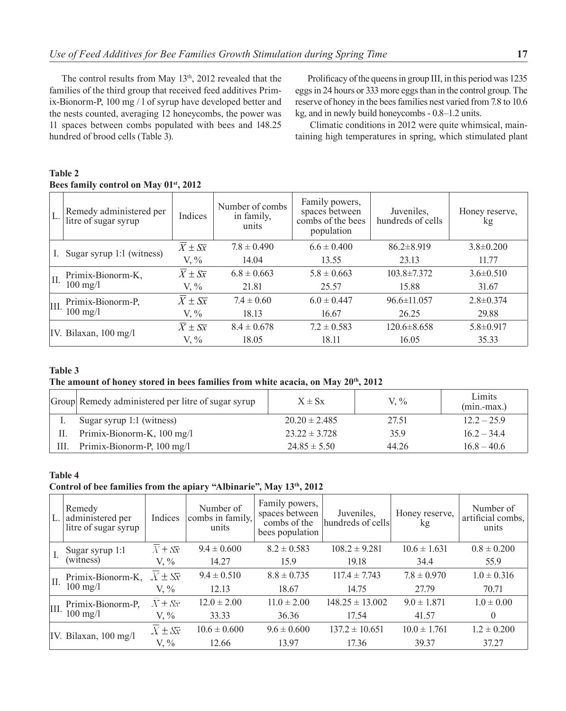The control results from May 13<sup>th</sup>, 2012 revealed that the families of the third group that received feed additives Primix-Bionorm-P, 100 mg / l of syrup have developed better and the nests counted, averaging 12 honeycombs, the power was 11 spaces between combs populated with bees and 148.25 hundred of brood cells (Table 3).

Prolificacy of the queens in group III, in this period was 1235 eggs in 24 hours or 333 more eggs than in the control group. The reserve of honey in the bees families nest varied from 7.8 to 10.6 kg, and in newly build honeycombs - 0.8–1.2 units.

Climatic conditions in 2012 were quite whimsical, maintaining high temperatures in spring, which stimulated plant

| L.   | Remedy administered per<br>litre of sugar syrup | Indices                          | Number of combs<br>in family,<br>units | Family powers,<br>spaces between<br>combs of the bees<br>population | Juveniles,<br>hundreds of cells | Honey reserve,<br>kg |
|------|-------------------------------------------------|----------------------------------|----------------------------------------|---------------------------------------------------------------------|---------------------------------|----------------------|
|      | I. Sugar syrup 1:1 (witness)                    | $\overline{X} \pm S\overline{x}$ | $7.8 \pm 0.490$                        | $6.6 \pm 0.400$                                                     | $86.2 \pm 8.919$                | $3.8 \pm 0.200$      |
|      |                                                 | $V, \%$                          | 14.04                                  | 13.55                                                               | 23.13                           | 11.77                |
| Π.   | Primix-Bionorm-K,<br>$100 \text{ mg}/1$         | $X \pm S\overline{x}$            | $6.8 \pm 0.663$                        | $5.8 \pm 0.663$                                                     | $103.8 \pm 7.372$               | $3.6 \pm 0.510$      |
|      |                                                 | $V, \%$                          | 21.81                                  | 25.57                                                               | 15.88                           | 31.67                |
| III. | Primix-Bionorm-P,<br>$100 \text{ mg/l}$         | $\overline{X} \pm S\overline{x}$ | $7.4 \pm 0.60$                         | $6.0 \pm 0.447$                                                     | $96.6 \pm 11.057$               | $2.8 \pm 0.374$      |
|      |                                                 | $V, \%$                          | 18.13                                  | 16.67                                                               | 26.25                           | 29.88                |
|      | IV. Bilaxan, 100 mg/l                           | $X \pm S\overline{x}$            | $8.4 \pm 0.678$                        | $7.2 \pm 0.583$                                                     | $120.6 \pm 8.658$               | $5.8 \pm 0.917$      |
|      |                                                 | $V. \%$                          | 18.05                                  | 18.11                                                               | 16.05                           | 35.33                |

## **Table 2 Bees family control on May 01st, 2012**

## **Table 3**

#### The amount of honey stored in bees families from white acacia, on May 20<sup>th</sup>, 2012

|      | Group Remedy administered per litre of sugar syrup | $X \pm Sx$        | $V_{\cdot}$ % | Limits<br>$(min-max.)$ |
|------|----------------------------------------------------|-------------------|---------------|------------------------|
|      | Sugar syrup 1:1 (witness)                          | $20.20 \pm 2.485$ | 27.51         | $12.2 - 25.9$          |
|      | Primix-Bionorm-K, 100 mg/l                         | $23.22 \pm 3.728$ | 35.9          | $16.2 - 34.4$          |
| III. | Primix-Bionorm-P, 100 mg/l                         | $24.85 \pm 5.50$  | 44.26         | $16.8 - 40.6$          |

#### **Table 4**

#### **Control of bee families from the apiary "Albinarie", May 13th, 2012**

| L.   | Remedy<br>administered per<br>litre of sugar syrup | Indices                          | Number of<br>combs in family,<br>units | Family powers,<br>spaces between<br>combs of the<br>bees population | Juveniles.<br>hundreds of cells | Honey reserve,<br>kg | Number of<br>artificial combs,<br>units |
|------|----------------------------------------------------|----------------------------------|----------------------------------------|---------------------------------------------------------------------|---------------------------------|----------------------|-----------------------------------------|
|      | Sugar syrup 1:1<br>(witness)                       | $X \pm S\overline{x}$            | $9.4 \pm 0.600$                        | $8.2 \pm 0.583$                                                     | $108.2 \pm 9.281$               | $10.6 \pm 1.631$     | $0.8 \pm 0.200$                         |
|      |                                                    | $V, \%$                          | 14.27                                  | 15.9                                                                | 19.18                           | 34.4                 | 55.9                                    |
| П.   | Primix-Bionorm-K,<br>$100 \text{ mg}/1$            | $X \pm S\overline{x}$            | $9.4 \pm 0.510$                        | $8.8 \pm 0.735$                                                     | $117.4 \pm 7.743$               | $7.8 \pm 0.970$      | $1.0 \pm 0.316$                         |
|      |                                                    | V. $\%$                          | 12.13                                  | 18.67                                                               | 14.75                           | 27.79                | 70.71                                   |
| III. | Primix-Bionorm-P,<br>$100 \text{ mg/l}$            | $X \pm S\overline{x}$            | $12.0 \pm 2.00$                        | $11.0 \pm 2.00$                                                     | $148.25 \pm 13.002$             | $9.0 \pm 1.871$      | $1.0 \pm 0.00$                          |
|      |                                                    | V. $\%$                          | 33.33                                  | 36.36                                                               | 17.54                           | 41.57                | $\theta$                                |
|      | IV. Bilaxan, $100 \text{ mg/l}$                    | $\overline{X} \pm S\overline{x}$ | $10.6 \pm 0.600$                       | $9.6 \pm 0.600$                                                     | $137.2 \pm 10.651$              | $10.0 \pm 1.761$     | $1.2 \pm 0.200$                         |
|      |                                                    | V. $\%$                          | 12.66                                  | 13.97                                                               | 17.36                           | 39.37                | 37.27                                   |